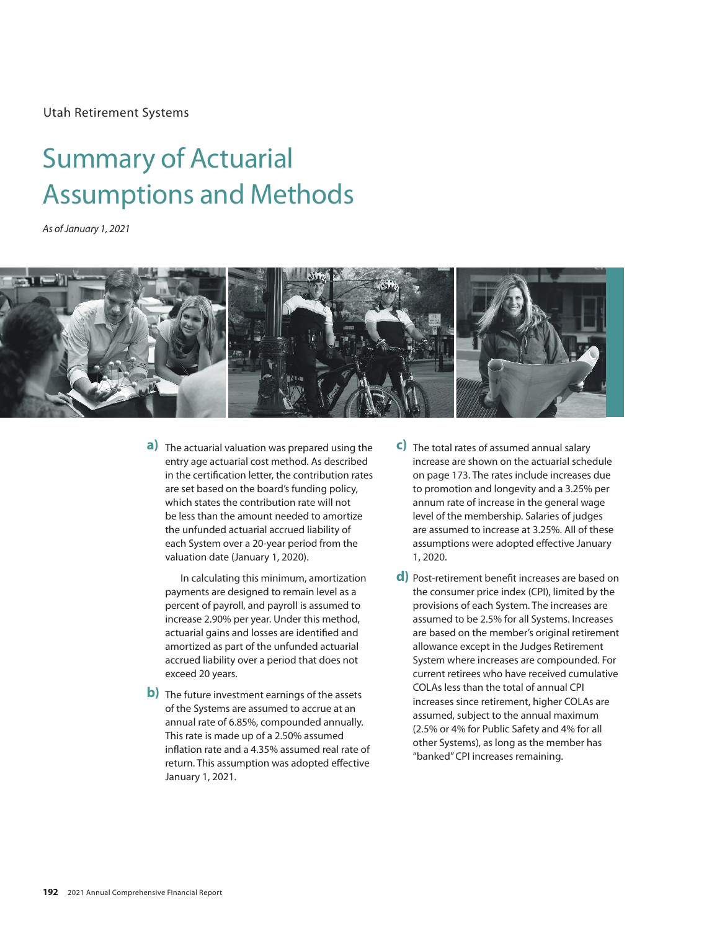Utah Retirement Systems

# Summary of Actuarial Summary Of Actualian<br>Associations and Methods and Methods and Methods and Methods and Methods and Methods and Methods and Methods a **Assumptions and Methods** Summary of Actuarial

*As of January 1, 2021*



**a)** The actuarial valuation was prepared using the **a)** entry age actuarial cost method. As described in the certification letter, the contribution rates are set based on the board's funding policy, which states the contribution rate will not be less than the amount needed to amortize the unfunded actuarial accrued liability of each System over a 20-year period from the valuation date (January 1, 2020).

In calculating this minimum, amortization payments are designed to remain level as a percent of payroll, and payroll is assumed to increase 2.90% per year. Under this method, actuarial gains and losses are identified and amortized as part of the unfunded actuarial accrued liability over a period that does not exceed 20 years.

**b**) The future investment earnings of the assets of the Systems are assumed to accrue at an annual rate of 6.85%, compounded annually. This rate is made up of a 2.50% assumed inflation rate and a 4.35% assumed real rate of return. This assumption was adopted effective January 1, 2021.

- **3)** The total rates of assumed annual salary **c)** increase are shown on the actuarial schedule on page 173. The rates include increases due to promotion and longevity and a 3.25% per annum rate of increase in the general wage level of the membership. Salaries of judges are assumed to increase at 3.25%. All of these assumptions were adopted effective January 1, 2020.
- **4)** Post-retirement benefit increases are based on **d)**the consumer price index (CPI), limited by the provisions of each System. The increases are assumed to be 2.5% for all Systems. Increases are based on the member's original retirement allowance except in the Judges Retirement System where increases are compounded. For current retirees who have received cumulative COLAs less than the total of annual CPI increases since retirement, higher COLAs are assumed, subject to the annual maximum (2.5% or 4% for Public Safety and 4% for all other Systems), as long as the member has "banked" CPI increases remaining.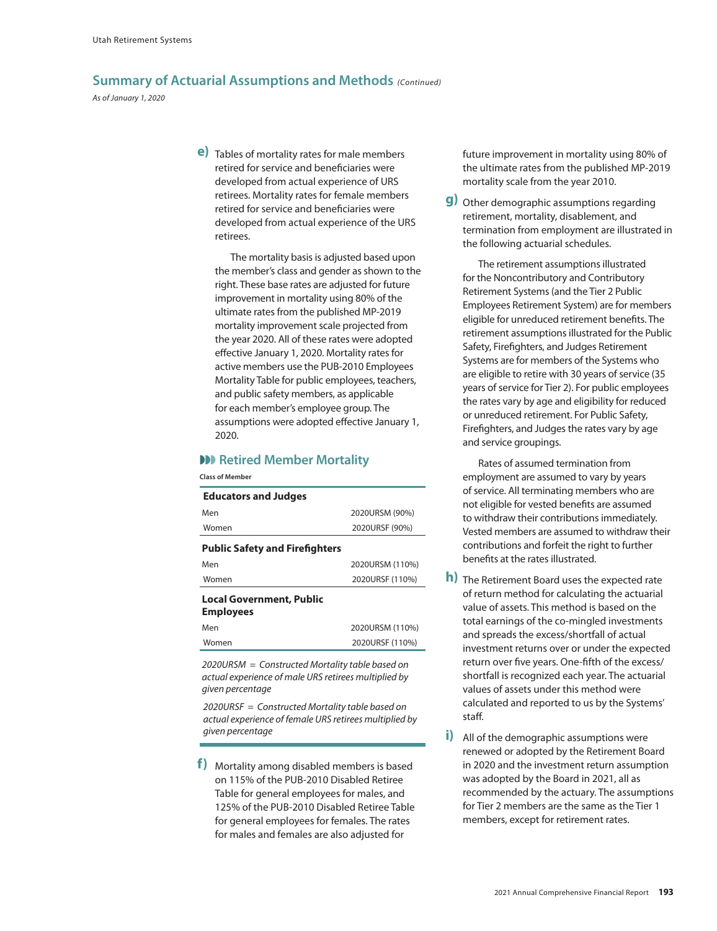*As of January 1, 2020*

**5)** Tables of mortality rates for male members **e)** retired for service and beneficiaries were developed from actual experience of URS retirees. Mortality rates for female members retired for service and beneficiaries were developed from actual experience of the URS retirees.

The mortality basis is adjusted based upon the member's class and gender as shown to the right. These base rates are adjusted for future improvement in mortality using 80% of the ultimate rates from the published MP-2019 mortality improvement scale projected from the year 2020. All of these rates were adopted effective January 1, 2020. Mortality rates for active members use the PUB-2010 Employees Mortality Table for public employees, teachers, and public safety members, as applicable for each member's employee group. The assumptions were adopted effective January 1, 2020.

#### **W** Retired Member Mortality

**Class of Member**

| <b>Educators and Judges</b>                         |                 |
|-----------------------------------------------------|-----------------|
| Men                                                 | 2020URSM (90%)  |
| Women                                               | 2020URSF (90%)  |
| <b>Public Safety and Firefighters</b>               |                 |
| Men                                                 | 2020URSM (110%) |
| Women                                               | 2020URSF (110%) |
| <b>Local Government, Public</b><br><b>Employees</b> |                 |
| Men                                                 | 2020URSM (110%) |
| Women                                               | 2020URSF (110%) |

*2020URSM = Constructed Mortality table based on actual experience of male URS retirees multiplied by given percentage*

*2020URSF = Constructed Mortality table based on actual experience of female URS retirees multiplied by given percentage*

**6)** Mortality among disabled members is based **f)**on 115% of the PUB-2010 Disabled Retiree Table for general employees for males, and 125% of the PUB-2010 Disabled Retiree Table for general employees for females. The rates for males and females are also adjusted for

future improvement in mortality using 80% of the ultimate rates from the published MP-2019 mortality scale from the year 2010.

**7)** Other demographic assumptions regarding **g)** retirement, mortality, disablement, and termination from employment are illustrated in the following actuarial schedules.

The retirement assumptions illustrated for the Noncontributory and Contributory Retirement Systems (and the Tier 2 Public Employees Retirement System) are for members eligible for unreduced retirement benefits. The retirement assumptions illustrated for the Public Safety, Firefighters, and Judges Retirement Systems are for members of the Systems who are eligible to retire with 30 years of service (35 years of service for Tier 2). For public employees the rates vary by age and eligibility for reduced or unreduced retirement. For Public Safety, Firefighters, and Judges the rates vary by age and service groupings.

Rates of assumed termination from employment are assumed to vary by years of service. All terminating members who are not eligible for vested benefits are assumed to withdraw their contributions immediately. Vested members are assumed to withdraw their contributions and forfeit the right to further benefits at the rates illustrated.

- **h**) The Retirement Board uses the expected rate of return method for calculating the actuarial value of assets. This method is based on the total earnings of the co-mingled investments and spreads the excess/shortfall of actual investment returns over or under the expected return over five years. One-fifth of the excess/ shortfall is recognized each year. The actuarial values of assets under this method were calculated and reported to us by the Systems' staff.
- **i**) All of the demographic assumptions were renewed or adopted by the Retirement Board in 2020 and the investment return assumption was adopted by the Board in 2021, all as recommended by the actuary. The assumptions for Tier 2 members are the same as the Tier 1 members, except for retirement rates.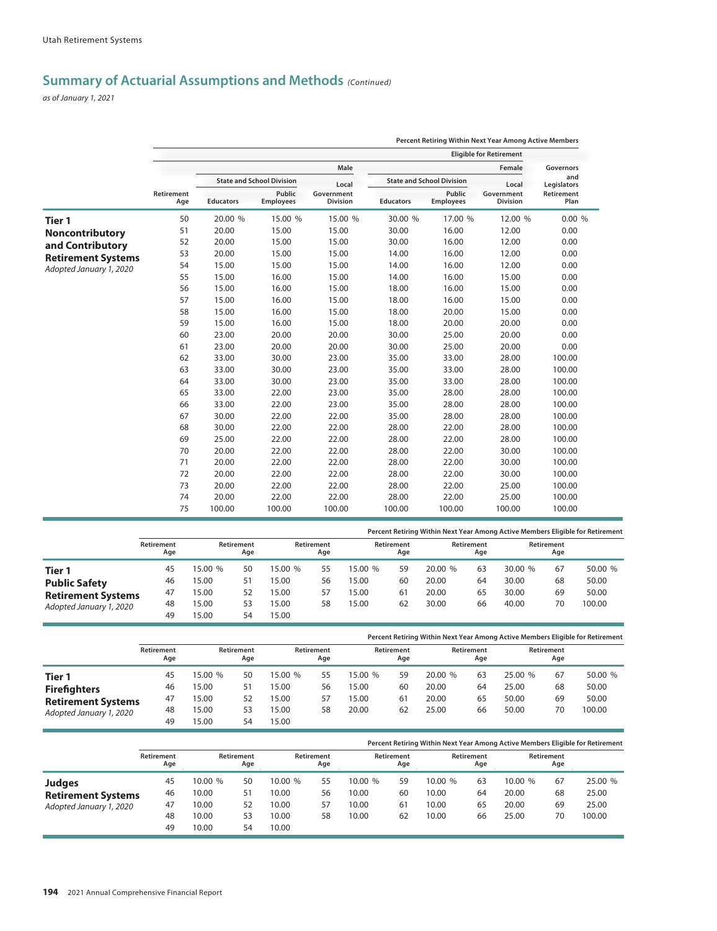*as of January 1, 2021*

|                           |                                     |                  |                                  |                               |                  |                                  | Percent Retiring Within Next Year Among Active Members |                    |
|---------------------------|-------------------------------------|------------------|----------------------------------|-------------------------------|------------------|----------------------------------|--------------------------------------------------------|--------------------|
|                           |                                     |                  |                                  |                               |                  |                                  | <b>Eligible for Retirement</b>                         |                    |
|                           |                                     |                  |                                  | Male                          |                  |                                  | Female                                                 | Governors          |
|                           |                                     |                  | <b>State and School Division</b> | Local                         |                  | <b>State and School Division</b> | Local                                                  | and<br>Legislators |
|                           | Retirement<br>Age<br>50<br>51<br>52 | <b>Educators</b> | Public<br><b>Employees</b>       | Government<br><b>Division</b> | <b>Educators</b> | Public<br><b>Employees</b>       | Government<br><b>Division</b>                          | Retirement<br>Plan |
| <b>Tier 1</b>             |                                     | 20.00 %          | 15.00 %                          | 15.00 %                       | 30.00 %          | 17.00 %                          | 12.00 %                                                | 0.00%              |
| <b>Noncontributory</b>    |                                     | 20.00            | 15.00                            | 15.00                         | 30.00            | 16.00                            | 12.00                                                  | 0.00               |
| and Contributory          |                                     | 20.00            | 15.00                            | 15.00                         | 30.00            | 16.00                            | 12.00                                                  | 0.00               |
| <b>Retirement Systems</b> | 53                                  | 20.00            | 15.00                            | 15.00                         | 14.00            | 16.00                            | 12.00                                                  | 0.00               |
| Adopted January 1, 2020   | 54                                  | 15.00            | 15.00                            | 15.00                         | 14.00            | 16.00                            | 12.00                                                  | 0.00               |
|                           | 55                                  | 15.00            | 16.00                            | 15.00                         | 14.00            | 16.00                            | 15.00                                                  | 0.00               |
|                           | 56                                  | 15.00            | 16.00                            | 15.00                         | 18.00            | 16.00                            | 15.00                                                  | 0.00               |
|                           | 57                                  | 15.00            | 16.00                            | 15.00                         | 18.00            | 16.00                            | 15.00                                                  | 0.00               |
|                           | 58                                  | 15.00            | 16.00                            | 15.00                         | 18.00            | 20.00                            | 15.00                                                  | 0.00               |
|                           | 59                                  | 15.00            | 16.00                            | 15.00                         | 18.00            | 20.00                            | 20.00                                                  | 0.00               |
|                           | 60                                  | 23.00            | 20.00                            | 20.00                         | 30.00            | 25.00                            | 20.00                                                  | 0.00               |
|                           | 61                                  | 23.00            | 20.00                            | 20.00                         | 30.00            | 25.00                            | 20.00                                                  | 0.00               |
|                           | 62                                  | 33.00            | 30.00                            | 23.00                         | 35.00            | 33.00                            | 28.00                                                  | 100.00             |
|                           | 63                                  | 33.00            | 30.00                            | 23.00                         | 35.00            | 33.00                            | 28.00                                                  | 100.00             |
|                           | 64                                  | 33.00            | 30.00                            | 23.00                         | 35.00            | 33.00                            | 28.00                                                  | 100.00             |
|                           | 65                                  | 33.00            | 22.00                            | 23.00                         | 35.00            | 28.00                            | 28.00                                                  | 100.00             |
|                           | 66                                  | 33.00            | 22.00                            | 23.00                         | 35.00            | 28.00                            | 28.00                                                  | 100.00             |
|                           | 67                                  | 30.00            | 22.00                            | 22.00                         | 35.00            | 28.00                            | 28.00                                                  | 100.00             |
|                           | 68                                  | 30.00            | 22.00                            | 22.00                         | 28.00            | 22.00                            | 28.00                                                  | 100.00             |
|                           | 69                                  | 25.00            | 22.00                            | 22.00                         | 28.00            | 22.00                            | 28.00                                                  | 100.00             |
|                           | 70                                  | 20.00            | 22.00                            | 22.00                         | 28.00            | 22.00                            | 30.00                                                  | 100.00             |
|                           | 71                                  | 20.00            | 22.00                            | 22.00                         | 28.00            | 22.00                            | 30.00                                                  | 100.00             |
|                           | 72                                  | 20.00            | 22.00                            | 22.00                         | 28.00            | 22.00                            | 30.00                                                  | 100.00             |
|                           | 73                                  | 20.00            | 22.00                            | 22.00                         | 28.00            | 22.00                            | 25.00                                                  | 100.00             |
|                           | 74                                  | 20.00            | 22.00                            | 22.00                         | 28.00            | 22.00                            | 25.00                                                  | 100.00             |
|                           | 75                                  | 100.00           | 100.00                           | 100.00                        | 100.00           | 100.00                           | 100.00                                                 | 100.00             |

|                                                   |                   |                |                   |                |                   |                  |                   |                |                   |                |                   | Percent Retiring Within Next Year Among Active Members Eligible for Retirement |
|---------------------------------------------------|-------------------|----------------|-------------------|----------------|-------------------|------------------|-------------------|----------------|-------------------|----------------|-------------------|--------------------------------------------------------------------------------|
|                                                   | Retirement<br>Age |                | Retirement<br>Age |                | Retirement<br>Age |                  | Retirement<br>Age |                | Retirement<br>Age |                | Retirement<br>Age |                                                                                |
| Tier 1                                            | 45                | 15.00 %        | 50                | 15.00 %        | 55                | 15.00 %<br>15.00 | 59                | 20.00 %        | 63                | 30.00%         | 67                | 50.00 %                                                                        |
| <b>Public Safety</b><br><b>Retirement Systems</b> | 46<br>47          | 15.00<br>15.00 | 51<br>52          | 15.00<br>15.00 | 56<br>57          | 15.00            | 60<br>61          | 20.00<br>20.00 | 64<br>65          | 30.00<br>30.00 | 68<br>69          | 50.00<br>50.00                                                                 |
| Adopted January 1, 2020                           | 48<br>49          | 15.00<br>5.00  | 53<br>54          | 15.00<br>5.00  | 58                | 15.00            | 62                | 30.00          | 66                | 40.00          | 70                | 100.00                                                                         |

|                           |                   |         |                   |         |                   |         |                   |         |                   |         |                   | Percent Retiring Within Next Year Among Active Members Eligible for Retirement |
|---------------------------|-------------------|---------|-------------------|---------|-------------------|---------|-------------------|---------|-------------------|---------|-------------------|--------------------------------------------------------------------------------|
|                           | Retirement<br>Age |         | Retirement<br>Age |         | Retirement<br>Age |         | Retirement<br>Age |         | Retirement<br>Age |         | Retirement<br>Age |                                                                                |
| Tier 1                    | 45                | 15.00 % | 50                | 15.00 % | 55                | 15.00 % | 59                | 20.00 % | 63                | 25.00 % | 67                | 50.00 %                                                                        |
| <b>Firefighters</b>       | 46                | 15.00   | 51                | 5.00    | 56                | 15.00   | 60                | 20.00   | 64                | 25.00   | 68                | 50.00                                                                          |
| <b>Retirement Systems</b> | 47                | 15.00   | 52                | 5.00    | 57                | 15.00   | 61                | 20.00   | 65                | 50.00   | 69                | 50.00                                                                          |
| Adopted January 1, 2020   | 48                | 5.00    | 53                | 5.00    | 58                | 20.00   | 62                | 25.00   | 66                | 50.00   | 70                | 100.00                                                                         |
|                           | 49                | 15.00   | 54                | 5.00    |                   |         |                   |         |                   |         |                   |                                                                                |

|                           |                   |         |                   |         |                   |         |                   |        |                   |         |                   | Percent Retiring Within Next Year Among Active Members Eligible for Retirement |
|---------------------------|-------------------|---------|-------------------|---------|-------------------|---------|-------------------|--------|-------------------|---------|-------------------|--------------------------------------------------------------------------------|
|                           | Retirement<br>Age |         | Retirement<br>Age |         | Retirement<br>Age |         | Retirement<br>Age |        | Retirement<br>Age |         | Retirement<br>Age |                                                                                |
| <b>Judges</b>             | 45                | 10.00 % | 50                | 10.00 % | 55                | 10.00 % | 59                | 10.00% | 63                | 10.00 % | 67                | 25.00 %                                                                        |
| <b>Retirement Systems</b> | 46                | 10.00   | 51                | 10.00   | 56                | 10.00   | 60                | 10.00  | 64                | 20.00   | 68                | 25.00                                                                          |
| Adopted January 1, 2020   | 47                | 10.00   | 52                | 10.00   | 57                | 10.00   | 61                | 10.00  | 65                | 20.00   | 69                | 25.00                                                                          |
|                           | 48                | 10.00   | 53                | 10.00   | 58                | 10.00   | 62                | 10.00  | 66                | 25.00   | 70                | 100.00                                                                         |
|                           | 49                | 10.00   | 54                | 10.00   |                   |         |                   |        |                   |         |                   |                                                                                |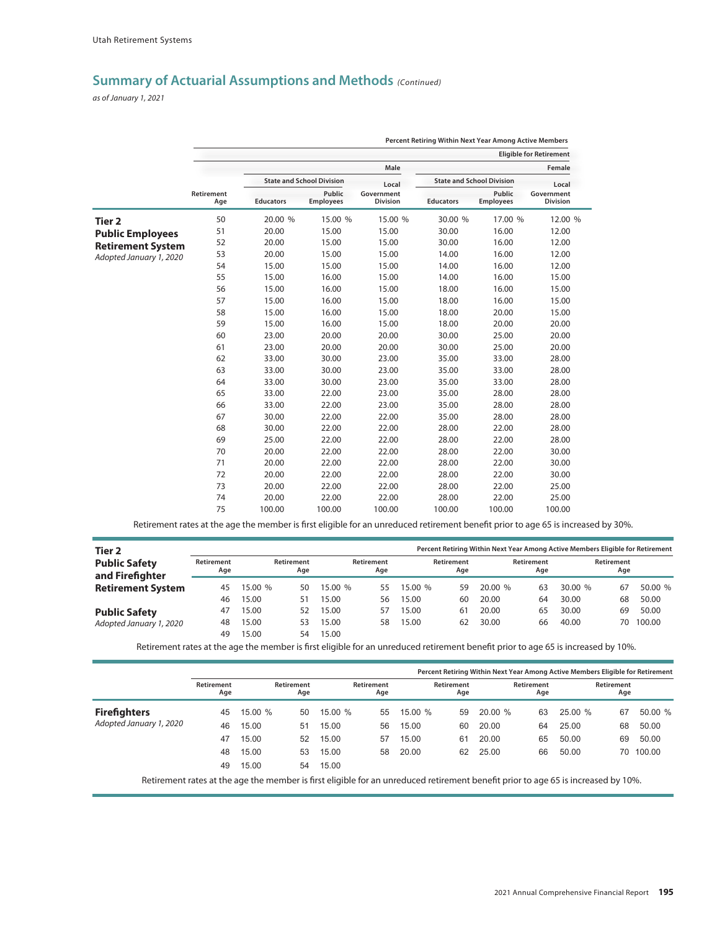*as of January 1, 2021*

|                          |                   |                  |                                  |                               | Percent Retiring Within Next Year Among Active Members |                                  |                                |
|--------------------------|-------------------|------------------|----------------------------------|-------------------------------|--------------------------------------------------------|----------------------------------|--------------------------------|
|                          |                   |                  |                                  |                               |                                                        |                                  | <b>Eligible for Retirement</b> |
|                          |                   |                  |                                  | Male                          |                                                        |                                  | Female                         |
|                          |                   |                  | <b>State and School Division</b> | Local                         |                                                        | <b>State and School Division</b> | Local                          |
|                          | Retirement<br>Age | <b>Educators</b> | Public<br><b>Employees</b>       | Government<br><b>Division</b> | <b>Educators</b>                                       | Public<br><b>Employees</b>       | Government<br><b>Division</b>  |
| <b>Tier 2</b>            | 50                | 20.00 %          | 15.00 %                          | 15.00 %                       | 30.00 %                                                | 17.00 %                          | 12.00 %                        |
| <b>Public Employees</b>  | 51                | 20.00            | 15.00                            | 15.00                         | 30.00                                                  | 16.00                            | 12.00                          |
| <b>Retirement System</b> | 52                | 20.00            | 15.00                            | 15.00                         | 30.00                                                  | 16.00                            | 12.00                          |
| Adopted January 1, 2020  | 53                | 20.00            | 15.00                            | 15.00                         | 14.00                                                  | 16.00                            | 12.00                          |
|                          | 54                | 15.00            | 15.00                            | 15.00                         | 14.00                                                  | 16.00                            | 12.00                          |
|                          | 55                | 15.00            | 16.00                            | 15.00                         | 14.00                                                  | 16.00                            | 15.00                          |
|                          | 56                | 15.00            | 16.00                            | 15.00                         | 18.00                                                  | 16.00                            | 15.00                          |
|                          | 57                | 15.00            | 16.00                            | 15.00                         | 18.00                                                  | 16.00                            | 15.00                          |
|                          | 58                | 15.00            | 16.00                            | 15.00                         | 18.00                                                  | 20.00                            | 15.00                          |
|                          | 59                | 15.00            | 16.00                            | 15.00                         | 18.00                                                  | 20.00                            | 20.00                          |
|                          | 60                | 23.00            | 20.00                            | 20.00                         | 30.00                                                  | 25.00                            | 20.00                          |
|                          | 61                | 23.00            | 20.00                            | 20.00                         | 30.00                                                  | 25.00                            | 20.00                          |
|                          | 62                | 33.00            | 30.00                            | 23.00                         | 35.00                                                  | 33.00                            | 28.00                          |
|                          | 63                | 33.00            | 30.00                            | 23.00                         | 35.00                                                  | 33.00                            | 28.00                          |
|                          | 64                | 33.00            | 30.00                            | 23.00                         | 35.00                                                  | 33.00                            | 28.00                          |
|                          | 65                | 33.00            | 22.00                            | 23.00                         | 35.00                                                  | 28.00                            | 28.00                          |
|                          | 66                | 33.00            | 22.00                            | 23.00                         | 35.00                                                  | 28.00                            | 28.00                          |
|                          | 67                | 30.00            | 22.00                            | 22.00                         | 35.00                                                  | 28.00                            | 28.00                          |
|                          | 68                | 30.00            | 22.00                            | 22.00                         | 28.00                                                  | 22.00                            | 28.00                          |
|                          | 69                | 25.00            | 22.00                            | 22.00                         | 28.00                                                  | 22.00                            | 28.00                          |
|                          | 70                | 20.00            | 22.00                            | 22.00                         | 28.00                                                  | 22.00                            | 30.00                          |
|                          | 71                | 20.00            | 22.00                            | 22.00                         | 28.00                                                  | 22.00                            | 30.00                          |
|                          | 72                | 20.00            | 22.00                            | 22.00                         | 28.00                                                  | 22.00                            | 30.00                          |
|                          | 73                | 20.00            | 22.00                            | 22.00                         | 28.00                                                  | 22.00                            | 25.00                          |
|                          | 74                | 20.00            | 22.00                            | 22.00                         | 28.00                                                  | 22.00                            | 25.00                          |
|                          | 75                | 100.00           | 100.00                           | 100.00                        | 100.00                                                 | 100.00                           | 100.00                         |

Retirement rates at the age the member is first eligible for an unreduced retirement benefit prior to age 65 is increased by 30%.

| Tier 2                                  |                   |         |                   |         |                   |         |                   | Percent Retiring Within Next Year Among Active Members Eligible for Retirement |                   |         |                   |         |
|-----------------------------------------|-------------------|---------|-------------------|---------|-------------------|---------|-------------------|--------------------------------------------------------------------------------|-------------------|---------|-------------------|---------|
| <b>Public Safety</b><br>and Firefighter | Retirement<br>Age |         | Retirement<br>Age |         | Retirement<br>Age |         | Retirement<br>Age |                                                                                | Retirement<br>Age |         | Retirement<br>Age |         |
| <b>Retirement System</b>                | 45                | 15.00 % | 50.               | 15.00 % | 55                | 15.00 % | 59                | 20.00 %                                                                        | 63                | 30.00 % | 67                | 50.00 % |
|                                         | 46                | 15.00   | 51                | 15.00   | 56                | 15.00   | 60                | 20.00                                                                          | 64                | 30.00   | 68                | 50.00   |
| <b>Public Safety</b>                    | 47                | 15.00   | 52.               | 15.00   | 57                | 15.00   | 61                | 20.00                                                                          | 65                | 30.00   | 69                | 50.00   |
| Adopted January 1, 2020                 | 48                | 15.00   | 53.               | 15.00   | 58                | 15.00   | 62                | 30.00                                                                          | 66                | 40.00   | 70                | 100.00  |
|                                         | 49                | 15.00   | 54                | 15.00   |                   |         |                   |                                                                                |                   |         |                   |         |

Retirement rates at the age the member is first eligible for an unreduced retirement benefit prior to age 65 is increased by 10%.

|                                                                                                                                   |                   |         |                   |         |                   |        | Percent Retiring Within Next Year Among Active Members Eligible for Retirement |        |                   |        |                   |         |
|-----------------------------------------------------------------------------------------------------------------------------------|-------------------|---------|-------------------|---------|-------------------|--------|--------------------------------------------------------------------------------|--------|-------------------|--------|-------------------|---------|
|                                                                                                                                   | Retirement<br>Age |         | Retirement<br>Age |         | Retirement<br>Age |        | Retirement<br>Age                                                              |        | Retirement<br>Age |        | Retirement<br>Age |         |
| <b>Firefighters</b>                                                                                                               | 45                | 15.00 % | 50                | 15.00 % | 55                | 15.00% | 59                                                                             | 20.00% | 63                | 25.00% | 67                | 50.00 % |
| Adopted January 1, 2020                                                                                                           | 46                | 15.00   | 51                | 15.00   | 56                | 15.00  | 60                                                                             | 20.00  | 64                | 25.00  | 68                | 50.00   |
|                                                                                                                                   | 47                | 15.00   | 52                | 15.00   | 57                | 15.00  | 61                                                                             | 20.00  | 65                | 50.00  | 69                | 50.00   |
|                                                                                                                                   | 48                | 15.00   | 53                | 15.00   | 58                | 20.00  | 62                                                                             | 25.00  | 66                | 50.00  | 70                | 100.00  |
|                                                                                                                                   | 49                | 15.00   | 54                | 15.00   |                   |        |                                                                                |        |                   |        |                   |         |
| Retirement rates at the age the member is first eligible for an unreduced retirement benefit prior to age 65 is increased by 10%. |                   |         |                   |         |                   |        |                                                                                |        |                   |        |                   |         |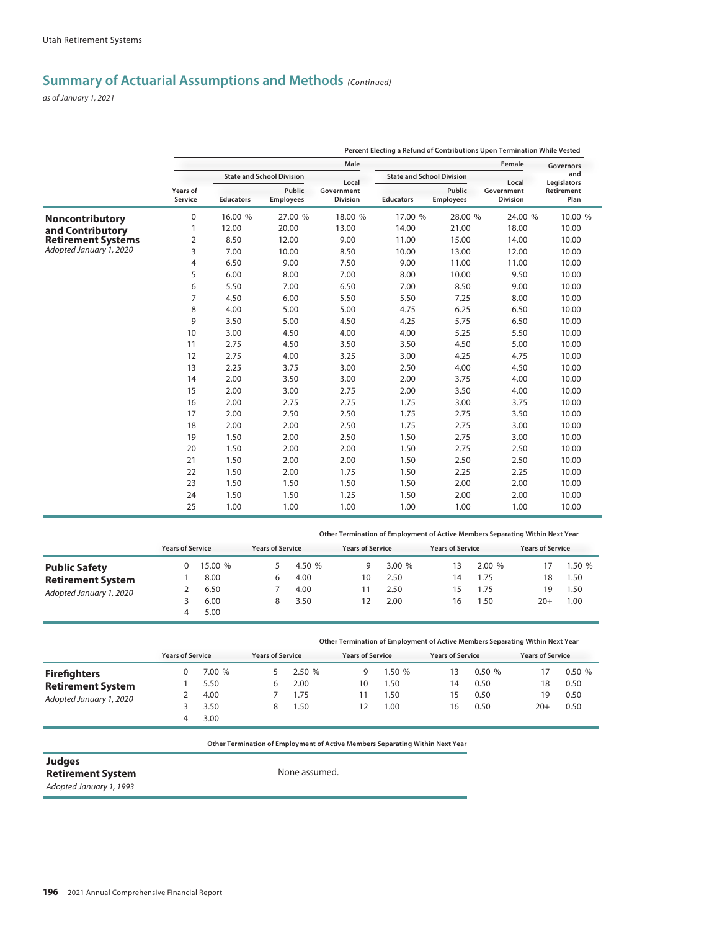*as of January 1, 2021*

|                           |                                                                                                                                                                                                                                                                                                                                      |         |                                  |                               |                                  |                            | Percent Electing a Refund of Contributions Upon Termination While Vested |                    |
|---------------------------|--------------------------------------------------------------------------------------------------------------------------------------------------------------------------------------------------------------------------------------------------------------------------------------------------------------------------------------|---------|----------------------------------|-------------------------------|----------------------------------|----------------------------|--------------------------------------------------------------------------|--------------------|
|                           |                                                                                                                                                                                                                                                                                                                                      |         |                                  | Male                          |                                  |                            | Female                                                                   | Governors          |
|                           | Years of<br>Service<br><b>Educators</b><br>$\pmb{0}$<br>12.00<br>1<br>2<br>8.50<br>3<br>7.00<br>4<br>6.50<br>5<br>6.00<br>6<br>5.50<br>7<br>4.50<br>8<br>4.00<br>9<br>3.50<br>10<br>3.00<br>11<br>2.75<br>12<br>2.75<br>13<br>2.25<br>14<br>2.00<br>15<br>2.00<br>16<br>2.00<br>17<br>2.00<br>18<br>2.00<br>19<br>1.50<br>20<br>1.50 |         | <b>State and School Division</b> | Local                         | <b>State and School Division</b> |                            | Local                                                                    | and<br>Legislators |
|                           |                                                                                                                                                                                                                                                                                                                                      |         | Public<br><b>Employees</b>       | Government<br><b>Division</b> | <b>Educators</b>                 | Public<br><b>Employees</b> | Government<br><b>Division</b>                                            | Retirement<br>Plan |
| Noncontributory           |                                                                                                                                                                                                                                                                                                                                      | 16.00 % | 27.00 %                          | 18.00 %                       | 17.00 %                          | 28.00 %                    | 24.00 %                                                                  | 10.00 %            |
| and Contributory          |                                                                                                                                                                                                                                                                                                                                      |         | 20.00                            | 13.00                         | 14.00                            | 21.00                      | 18.00                                                                    | 10.00              |
| <b>Retirement Systems</b> |                                                                                                                                                                                                                                                                                                                                      |         | 12.00                            | 9.00                          | 11.00                            | 15.00                      | 14.00                                                                    | 10.00              |
| Adopted January 1, 2020   |                                                                                                                                                                                                                                                                                                                                      |         | 10.00                            | 8.50                          | 10.00                            | 13.00                      | 12.00                                                                    | 10.00              |
|                           |                                                                                                                                                                                                                                                                                                                                      |         | 9.00                             | 7.50                          | 9.00                             | 11.00                      | 11.00                                                                    | 10.00              |
|                           |                                                                                                                                                                                                                                                                                                                                      |         | 8.00                             | 7.00                          | 8.00                             | 10.00                      | 9.50                                                                     | 10.00              |
|                           |                                                                                                                                                                                                                                                                                                                                      |         | 7.00                             | 6.50                          | 7.00                             | 8.50                       | 9.00                                                                     | 10.00              |
|                           |                                                                                                                                                                                                                                                                                                                                      |         | 6.00                             | 5.50                          | 5.50                             | 7.25                       | 8.00                                                                     | 10.00              |
|                           |                                                                                                                                                                                                                                                                                                                                      |         | 5.00                             | 5.00                          | 4.75                             | 6.25                       | 6.50                                                                     | 10.00              |
|                           |                                                                                                                                                                                                                                                                                                                                      |         | 5.00                             | 4.50                          | 4.25                             | 5.75                       | 6.50                                                                     | 10.00              |
|                           |                                                                                                                                                                                                                                                                                                                                      |         | 4.50                             | 4.00                          | 4.00                             | 5.25                       | 5.50                                                                     | 10.00              |
|                           |                                                                                                                                                                                                                                                                                                                                      |         | 4.50                             | 3.50                          | 3.50                             | 4.50                       | 5.00                                                                     | 10.00              |
|                           |                                                                                                                                                                                                                                                                                                                                      |         | 4.00                             | 3.25                          | 3.00                             | 4.25                       | 4.75                                                                     | 10.00              |
|                           |                                                                                                                                                                                                                                                                                                                                      |         | 3.75                             | 3.00                          | 2.50                             | 4.00                       | 4.50                                                                     | 10.00              |
|                           |                                                                                                                                                                                                                                                                                                                                      |         | 3.50                             | 3.00                          | 2.00                             | 3.75                       | 4.00                                                                     | 10.00              |
|                           |                                                                                                                                                                                                                                                                                                                                      |         | 3.00                             | 2.75                          | 2.00                             | 3.50                       | 4.00                                                                     | 10.00              |
|                           |                                                                                                                                                                                                                                                                                                                                      |         | 2.75                             | 2.75                          | 1.75                             | 3.00                       | 3.75                                                                     | 10.00              |
|                           |                                                                                                                                                                                                                                                                                                                                      |         | 2.50                             | 2.50                          | 1.75                             | 2.75                       | 3.50                                                                     | 10.00              |
|                           |                                                                                                                                                                                                                                                                                                                                      |         | 2.00                             | 2.50                          | 1.75                             | 2.75                       | 3.00                                                                     | 10.00              |
|                           |                                                                                                                                                                                                                                                                                                                                      |         | 2.00                             | 2.50                          | 1.50                             | 2.75                       | 3.00                                                                     | 10.00              |
|                           |                                                                                                                                                                                                                                                                                                                                      |         | 2.00                             | 2.00                          | 1.50                             | 2.75                       | 2.50                                                                     | 10.00              |
|                           | 21                                                                                                                                                                                                                                                                                                                                   | 1.50    | 2.00                             | 2.00                          | 1.50                             | 2.50                       | 2.50                                                                     | 10.00              |
|                           | 22                                                                                                                                                                                                                                                                                                                                   | 1.50    | 2.00                             | 1.75                          | 1.50                             | 2.25                       | 2.25                                                                     | 10.00              |
|                           | 23                                                                                                                                                                                                                                                                                                                                   | 1.50    | 1.50                             | 1.50                          | 1.50                             | 2.00                       | 2.00                                                                     | 10.00              |
|                           | 24                                                                                                                                                                                                                                                                                                                                   | 1.50    | 1.50                             | 1.25                          | 1.50                             | 2.00                       | 2.00                                                                     | 10.00              |
|                           | 25                                                                                                                                                                                                                                                                                                                                   | 1.00    | 1.00                             | 1.00                          | 1.00                             | 1.00                       | 1.00                                                                     | 10.00              |

|                          |                         |              |                         |        |                         |       | Other Termination of Employment of Active Members Separating Within Next Year |       |                         |        |
|--------------------------|-------------------------|--------------|-------------------------|--------|-------------------------|-------|-------------------------------------------------------------------------------|-------|-------------------------|--------|
|                          | <b>Years of Service</b> |              | <b>Years of Service</b> |        | <b>Years of Service</b> |       | <b>Years of Service</b>                                                       |       | <b>Years of Service</b> |        |
| <b>Public Safety</b>     |                         | 15.00 %      |                         | 4.50 % | g                       | 3.00% | 13                                                                            | 2.00% |                         | 1.50 % |
| <b>Retirement System</b> |                         | 8.00         |                         | 4.00   | 10                      | 2.50  | 14                                                                            | .75   | 18                      | .50    |
| Adopted January 1, 2020  |                         | 6.50         |                         | 4.00   |                         | 2.50  | כ ו                                                                           | .75   | 19                      | .50    |
|                          |                         | 6.00<br>5.00 |                         | 3.50   |                         | 2.00  | 16                                                                            | .50   | $20+$                   | 1.00   |

|                          |                         |        |                         |        |                         |       | Other Termination of Employment of Active Members Separating Within Next Year |       |                         |       |
|--------------------------|-------------------------|--------|-------------------------|--------|-------------------------|-------|-------------------------------------------------------------------------------|-------|-------------------------|-------|
|                          | <b>Years of Service</b> |        | <b>Years of Service</b> |        | <b>Years of Service</b> |       | <b>Years of Service</b>                                                       |       | <b>Years of Service</b> |       |
| <b>Firefighters</b>      |                         | 7.00 % |                         | 2.50 % | u                       | 1.50% | 13                                                                            | 0.50% |                         | 0.50% |
| <b>Retirement System</b> |                         | 5.50   |                         | 2.00   | 10                      | .50   | 14                                                                            | 0.50  | 18                      | 0.50  |
| Adopted January 1, 2020  |                         | 4.00   |                         | 1.75   |                         | .50   | 15                                                                            | 0.50  | 19                      | 0.50  |
|                          |                         | 3.50   |                         | 1.50   |                         | .00   | 16                                                                            | 0.50  | $20+$                   | 0.50  |
|                          |                         | 3.00   |                         |        |                         |       |                                                                               |       |                         |       |

**Other Termination of Employment of Active Members Separating Within Next Year Other Termination of Employment of Active Members Separating Within Next Year**

**Judges Retirement System** 

*Adopted January 1, 1993*

None assumed.